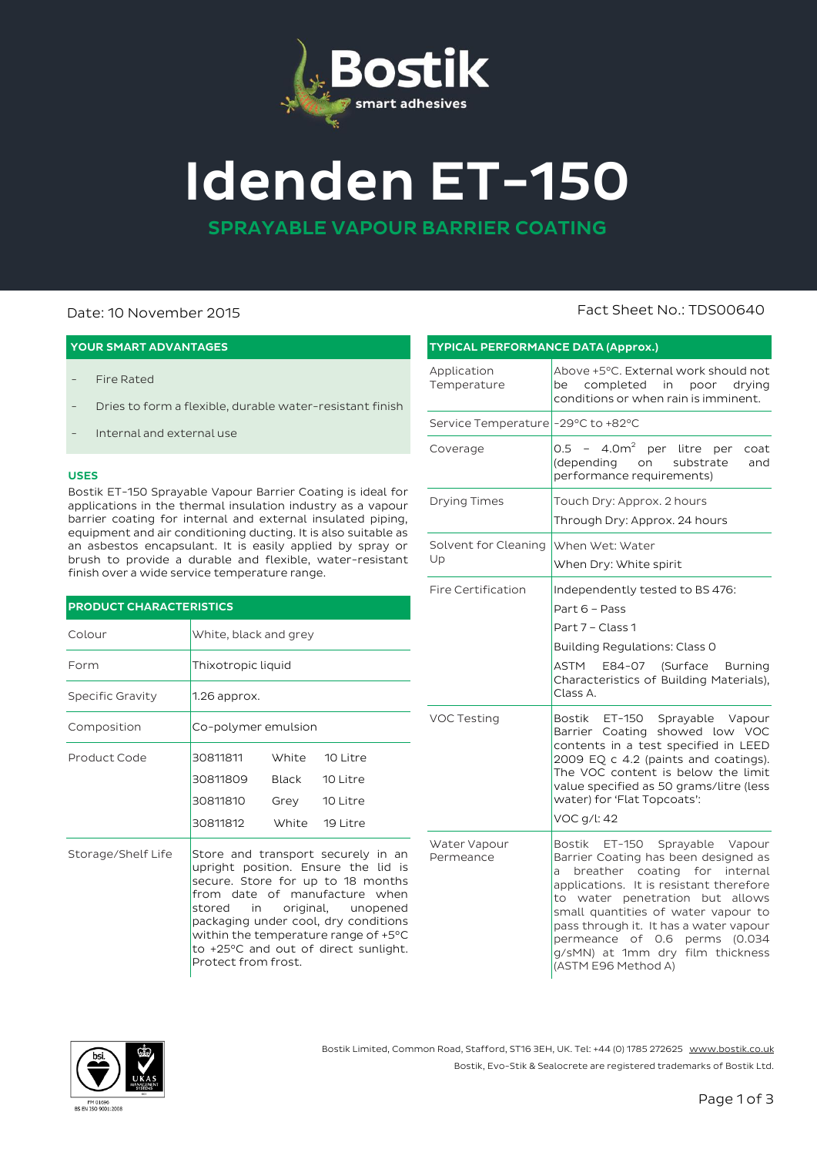

# **Idenden ET-150**

**SPRAYABLE VAPOUR BARRIER COATING**

### **YOUR SMART ADVANTAGES**

- Fire Rated
- Dries to form a flexible, durable water-resistant finish
- Internal and external use

#### **USES**

Bostik ET-150 Sprayable Vapour Barrier Coating is ideal for applications in the thermal insulation industry as a vapour barrier coating for internal and external insulated piping, equipment and air conditioning ducting. It is also suitable as an asbestos encapsulant. It is easily applied by spray or brush to provide a durable and flexible, water-resistant finish over a wide service temperature range.

#### **PRODUCT CHARACTERISTICS**

| Colour             | White, black and grey                                                                                                                                                                                                                                                                                                          |                                                   |                      |  |  |
|--------------------|--------------------------------------------------------------------------------------------------------------------------------------------------------------------------------------------------------------------------------------------------------------------------------------------------------------------------------|---------------------------------------------------|----------------------|--|--|
| Form               | Thixotropic liquid                                                                                                                                                                                                                                                                                                             |                                                   |                      |  |  |
| Specific Gravity   | $1.26$ approx.                                                                                                                                                                                                                                                                                                                 |                                                   |                      |  |  |
| Composition        | Co-polymer emulsion                                                                                                                                                                                                                                                                                                            |                                                   |                      |  |  |
| Product Code       | 30811811<br>30811809<br>30811810<br>30811812                                                                                                                                                                                                                                                                                   | White<br>Black<br>Grey 10 Litre<br>White 19 Litre | 10 Litre<br>10 Litre |  |  |
| Storage/Shelf Life | Store and transport securely in an<br>upright position. Ensure the lid is<br>secure. Store for up to 18 months<br>from date of manufacture when<br>stored in original, unopened<br>packaging under cool, dry conditions<br>within the temperature range of +5°C<br>to +25°C and out of direct sunlight.<br>Protect from frost. |                                                   |                      |  |  |

#### Application Temperature Above +5°C. External work should not be completed in poor drying conditions or when rain is imminent. Service Temperature -29°C to +82°C Coverage  $\begin{vmatrix} 0.5 & -4.0m^2 & \text{per} & \text{litre} & \text{per} & \text{coat} \\ 0.5 & -4.0m^2 & \text{per} & \text{litre} & \text{per} & \text{coat} \end{vmatrix}$ (depending performance requirements) Drying Times Touch Dry: Approx. 2 hours Through Dry: Approx. 24 hours Solvent for Cleaning Up When Wet: Water When Dry: White spirit Fire Certification  $\blacksquare$  Independently tested to BS 476: Part 6 – Pass Part 7 – Class 1 Building Regulations: Class 0 ASTM E84-07 (Surface Burning Characteristics of Building Materials), Class A. VOC Testing | Bostik ET-150 Sprayable Vapour Barrier Coating showed low VOC contents in a test specified in LEED 2009 EQ c 4.2 (paints and coatings). The VOC content is below the limit value specified as 50 grams/litre (less water) for 'Flat Topcoats': VOC g/l: 42 Water Vapour Permeance Bostik ET-150 Sprayable Vapour Barrier Coating has been designed as a breather coating for internal applications. It is resistant therefore to water penetration but allows small quantities of water vapour to

**TYPICAL PERFORMANCE DATA (Approx.)**



Bostik Limited, Common Road, Stafford, ST16 3EH, UK. Tel: +44 (0) 1785 272625 [www.bostik.co.uk](http://www.bostik.co.uk/) Bostik, Evo-Stik & Sealocrete are registered trademarks of Bostik Ltd.

## Date: 10 November 2015 Fact Sheet No.: TDS00640

pass through it. It has a water vapour permeance of 0.6 perms (0.034 g/sMN) at 1mm dry film thickness

(ASTM E96 Method A)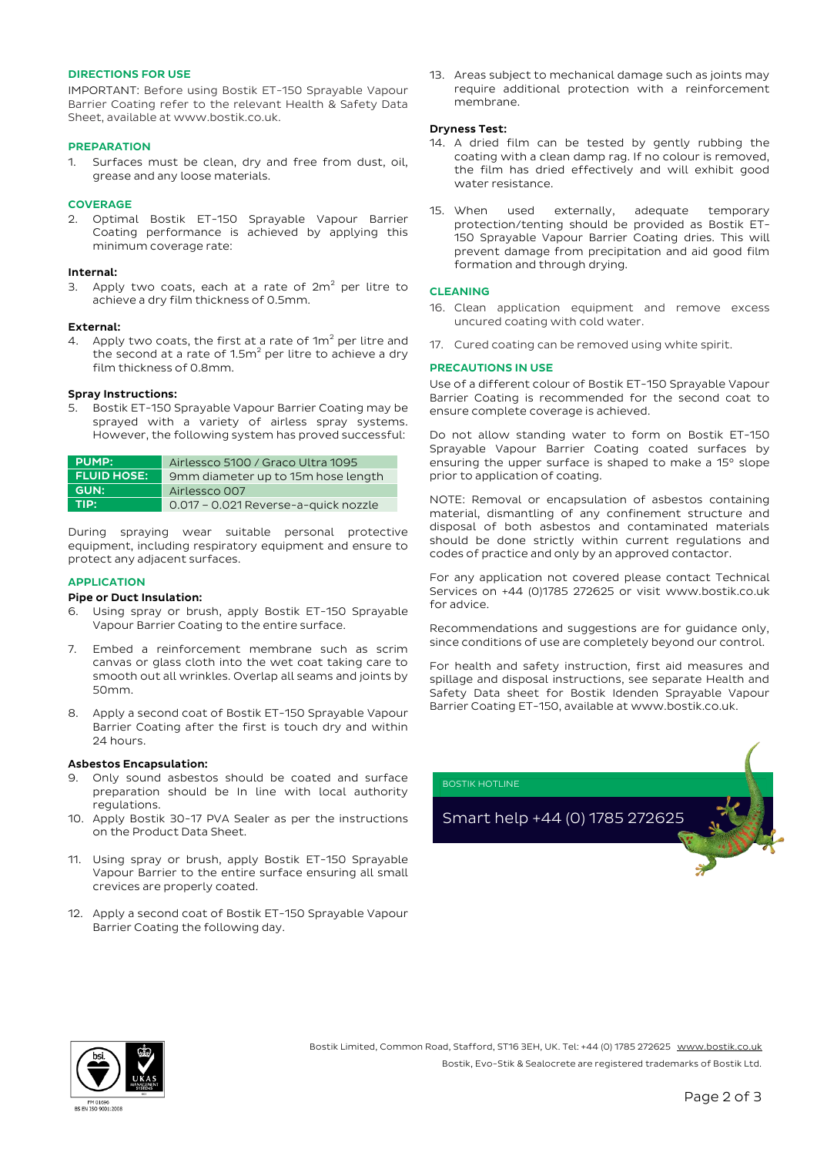#### **DIRECTIONS FOR USE**

IMPORTANT: Before using Bostik ET-150 Sprayable Vapour Barrier Coating refer to the relevant Health & Safety Data Sheet, available a[t www.bostik.co.uk.](http://www.bostik.co.uk/)

#### **PREPARATION**

1. Surfaces must be clean, dry and free from dust, oil, grease and any loose materials.

#### **COVERAGE**

2. Optimal Bostik ET-150 Sprayable Vapour Barrier Coating performance is achieved by applying this minimum coverage rate:

#### **Internal:**

3. Apply two coats, each at a rate of  $2m^2$  per litre to achieve a dry film thickness of 0.5mm.

#### **External:**

4. Apply two coats, the first at a rate of  $1m^2$  per litre and the second at a rate of  $1.5m^2$  per litre to achieve a dry film thickness of 0.8mm.

#### **Spray Instructions:**

5. Bostik ET-150 Sprayable Vapour Barrier Coating may be sprayed with a variety of airless spray systems. However, the following system has proved successful:

| <b>PUMP:</b>       | Airlessco 5100 / Graco Ultra 1095    |  |  |
|--------------------|--------------------------------------|--|--|
| <b>FLUID HOSE:</b> | 9mm diameter up to 15m hose length   |  |  |
| <b>GUN:</b>        | Airlessco 007                        |  |  |
| <b>TIPA</b>        | 0.017 - 0.021 Reverse-a-quick nozzle |  |  |

During spraying wear suitable personal protective equipment, including respiratory equipment and ensure to protect any adjacent surfaces.

#### **APPLICATION**

#### **Pipe or Duct Insulation:**

- 6. Using spray or brush, apply Bostik ET-150 Sprayable Vapour Barrier Coating to the entire surface.
- 7. Embed a reinforcement membrane such as scrim canvas or glass cloth into the wet coat taking care to smooth out all wrinkles. Overlap all seams and joints by 50mm.
- 8. Apply a second coat of Bostik ET-150 Sprayable Vapour Barrier Coating after the first is touch dry and within 24 hours.

#### **Asbestos Encapsulation:**

- 9. Only sound asbestos should be coated and surface preparation should be In line with local authority regulations.
- 10. Apply Bostik 30-17 PVA Sealer as per the instructions on the Product Data Sheet.
- 11. Using spray or brush, apply Bostik ET-150 Sprayable Vapour Barrier to the entire surface ensuring all small crevices are properly coated.
- 12. Apply a second coat of Bostik ET-150 Sprayable Vapour Barrier Coating the following day.

13. Areas subject to mechanical damage such as joints may require additional protection with a reinforcement membrane.

#### **Dryness Test:**

- 14. A dried film can be tested by gently rubbing the coating with a clean damp rag. If no colour is removed, the film has dried effectively and will exhibit good water resistance.
- 15. When used externally, adequate temporary protection/tenting should be provided as Bostik ET-150 Sprayable Vapour Barrier Coating dries. This will prevent damage from precipitation and aid good film formation and through drying.

#### **CLEANING**

- 16. Clean application equipment and remove excess uncured coating with cold water.
- 17. Cured coating can be removed using white spirit.

#### **PRECAUTIONS IN USE**

Use of a different colour of Bostik ET-150 Sprayable Vapour Barrier Coating is recommended for the second coat to ensure complete coverage is achieved.

Do not allow standing water to form on Bostik ET-150 Sprayable Vapour Barrier Coating coated surfaces by ensuring the upper surface is shaped to make a 15° slope prior to application of coating.

NOTE: Removal or encapsulation of asbestos containing material, dismantling of any confinement structure and disposal of both asbestos and contaminated materials should be done strictly within current regulations and codes of practice and only by an approved contactor.

For any application not covered please contact Technical Services on +44 (0)1785 272625 or visit www.bostik.co.uk for advice.

Recommendations and suggestions are for guidance only, since conditions of use are completely beyond our control.

For health and safety instruction, first aid measures and spillage and disposal instructions, see separate Health and Safety Data sheet for Bostik Idenden Sprayable Vapour Barrier Coating ET-150, available at www.bostik.co.uk.





Bostik Limited, Common Road, Stafford, ST16 3EH, UK. Tel: +44 (0) 1785 272625 [www.bostik.co.uk](http://www.bostik.co.uk/) Bostik, Evo-Stik & Sealocrete are registered trademarks of Bostik Ltd.